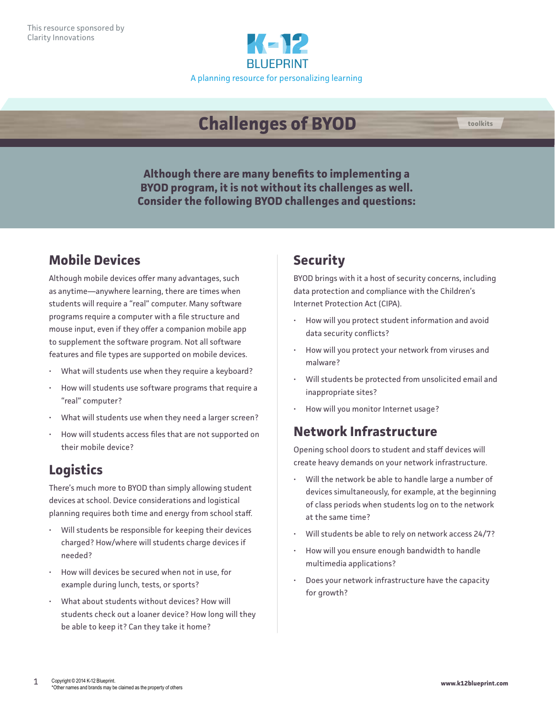

# **Challenges of BYOD**



**Although there are many benefits to implementing a BYOD program, it is not without its challenges as well. Consider the following BYOD challenges and questions:**

## **Mobile Devices**

Although mobile devices offer many advantages, such as anytime—anywhere learning, there are times when students will require a "real" computer. Many software programs require a computer with a file structure and mouse input, even if they offer a companion mobile app to supplement the software program. Not all software features and file types are supported on mobile devices.

- What will students use when they require a keyboard?
- How will students use software programs that require a "real" computer?
- What will students use when they need a larger screen?
- How will students access files that are not supported on their mobile device?

#### **Logistics**

There's much more to BYOD than simply allowing student devices at school. Device considerations and logistical planning requires both time and energy from school staff.

- Will students be responsible for keeping their devices charged? How/where will students charge devices if needed?
- How will devices be secured when not in use, for example during lunch, tests, or sports?
- What about students without devices? How will students check out a loaner device? How long will they be able to keep it? Can they take it home?

## **Security**

BYOD brings with it a host of security concerns, including data protection and compliance with the Children's Internet Protection Act (CIPA).

- How will you protect student information and avoid data security conflicts?
- How will you protect your network from viruses and malware?
- Will students be protected from unsolicited email and inappropriate sites?
- How will you monitor Internet usage?

#### **Network Infrastructure**

Opening school doors to student and staff devices will create heavy demands on your network infrastructure.

- Will the network be able to handle large a number of devices simultaneously, for example, at the beginning of class periods when students log on to the network at the same time?
- Will students be able to rely on network access 24/7?
- How will you ensure enough bandwidth to handle multimedia applications?
- Does your network infrastructure have the capacity for growth?